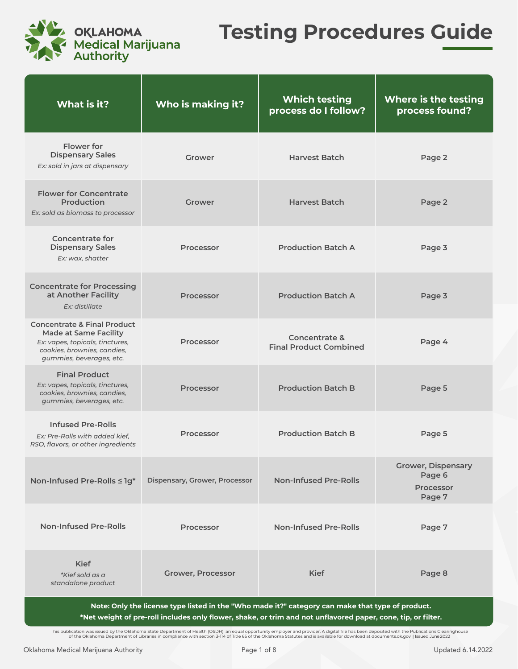

## **Testing Procedures Guide**

| What is it?                                                                                                                                                          | Who is making it?             | <b>Which testing</b><br>process do I follow?   | <b>Where is the testing</b><br>process found?              |
|----------------------------------------------------------------------------------------------------------------------------------------------------------------------|-------------------------------|------------------------------------------------|------------------------------------------------------------|
| Flower for<br><b>Dispensary Sales</b><br>Ex: sold in jars at dispensary                                                                                              | Grower                        | <b>Harvest Batch</b>                           | Page 2                                                     |
| <b>Flower for Concentrate</b><br>Production<br>Ex: sold as biomass to processor                                                                                      | Grower                        | <b>Harvest Batch</b>                           | Page 2                                                     |
| <b>Concentrate for</b><br><b>Dispensary Sales</b><br>Ex: wax, shatter                                                                                                | Processor                     | <b>Production Batch A</b>                      | Page 3                                                     |
| <b>Concentrate for Processing</b><br>at Another Facility<br>Ex: distillate                                                                                           | <b>Processor</b>              | <b>Production Batch A</b>                      | Page 3                                                     |
| <b>Concentrate &amp; Final Product</b><br><b>Made at Same Facility</b><br>Ex: vapes, topicals, tinctures,<br>cookies, brownies, candies,<br>gummies, beverages, etc. | <b>Processor</b>              | Concentrate &<br><b>Final Product Combined</b> | Page 4                                                     |
| <b>Final Product</b><br>Ex: vapes, topicals, tinctures,<br>cookies, brownies, candies,<br>gummies, beverages, etc.                                                   | <b>Processor</b>              | <b>Production Batch B</b>                      | Page 5                                                     |
| <b>Infused Pre-Rolls</b><br>Ex: Pre-Rolls with added kief,<br>RSO, flavors, or other ingredients                                                                     | Processor                     | <b>Production Batch B</b>                      | Page 5                                                     |
| Non-Infused Pre-Rolls ≤ 1g*                                                                                                                                          | Dispensary, Grower, Processor | <b>Non-Infused Pre-Rolls</b>                   | <b>Grower, Dispensary</b><br>Page 6<br>Processor<br>Page 7 |
| <b>Non-Infused Pre-Rolls</b>                                                                                                                                         | Processor                     | <b>Non-Infused Pre-Rolls</b>                   | Page 7                                                     |
| <b>Kief</b><br>*Kief sold as a<br>standalone product                                                                                                                 | <b>Grower, Processor</b>      | <b>Kief</b>                                    | Page 8                                                     |
| Note: Only the license type listed in the "Who made it?" category can make that type of product.                                                                     |                               |                                                |                                                            |

**\*Net weight of pre-roll includes only flower, shake, or trim and not unflavored paper, cone, tip, or filter.**

This publication was issued by the Oklahoma State Department of Health (OSDH), an equal opportunity employer and provider. A digital file has been deposited with the Publications Clearinghouse<br>of the Oklahoma Department of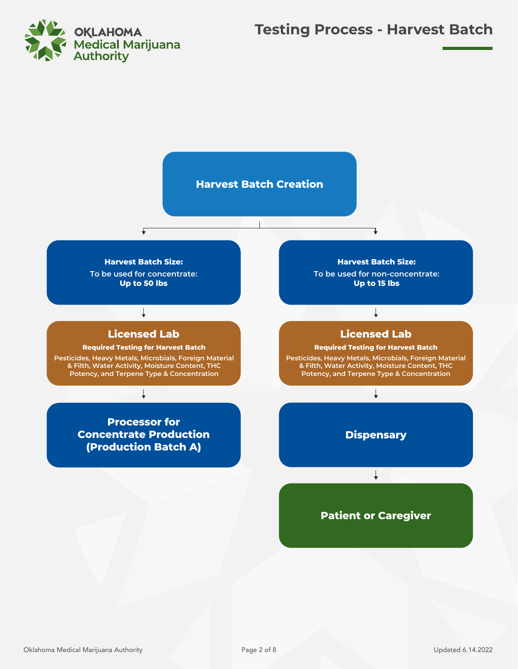

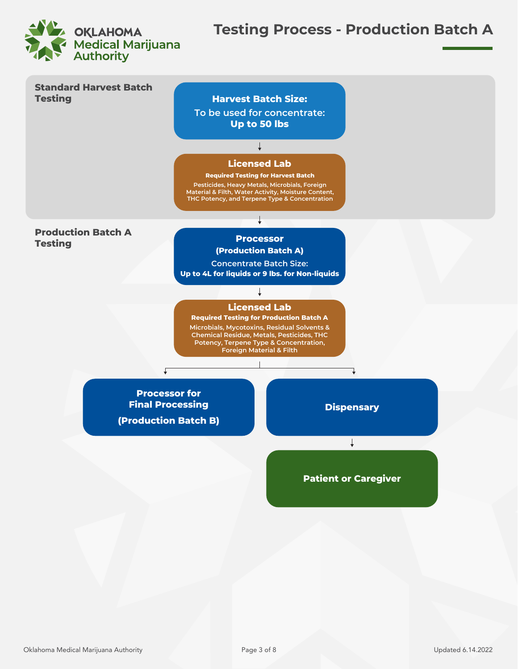

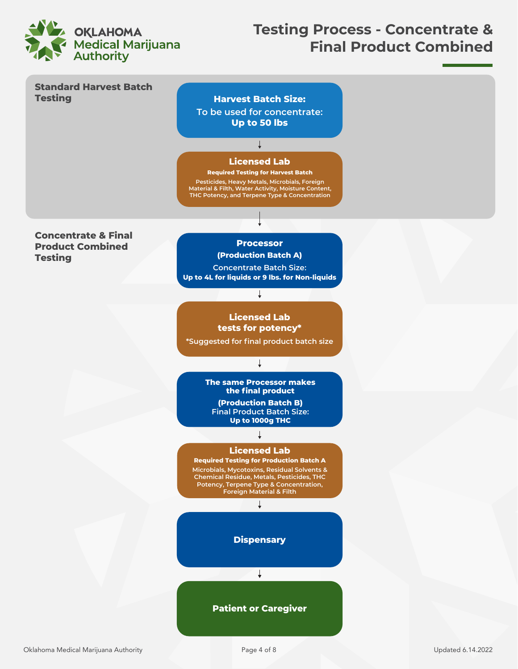

## **Testing Process - Concentrate & Final Product Combined**



Page 4 of 8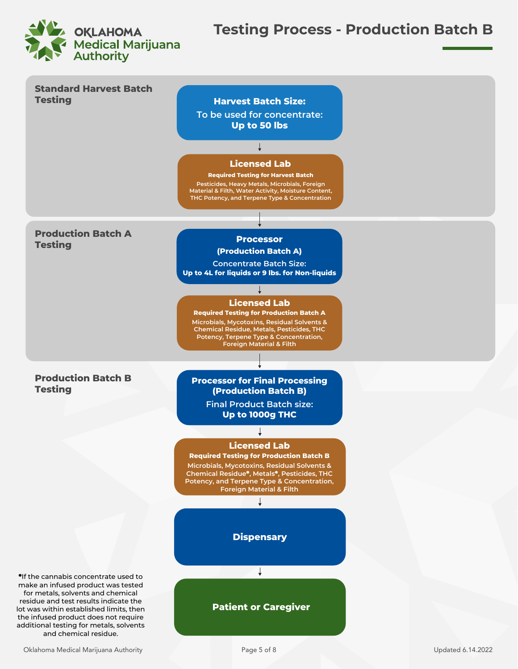

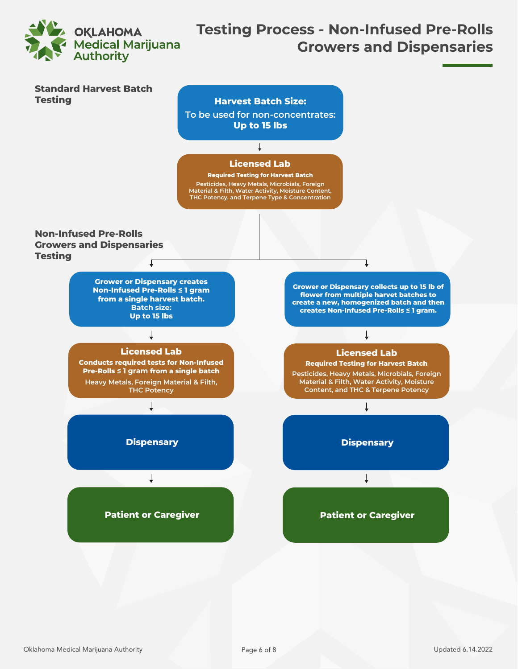

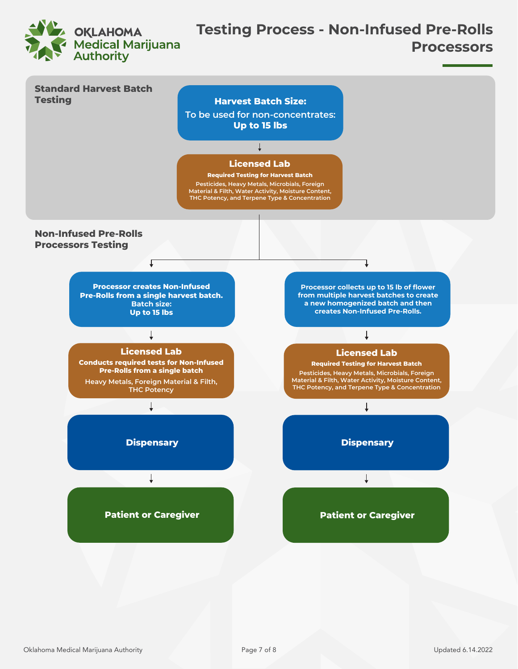